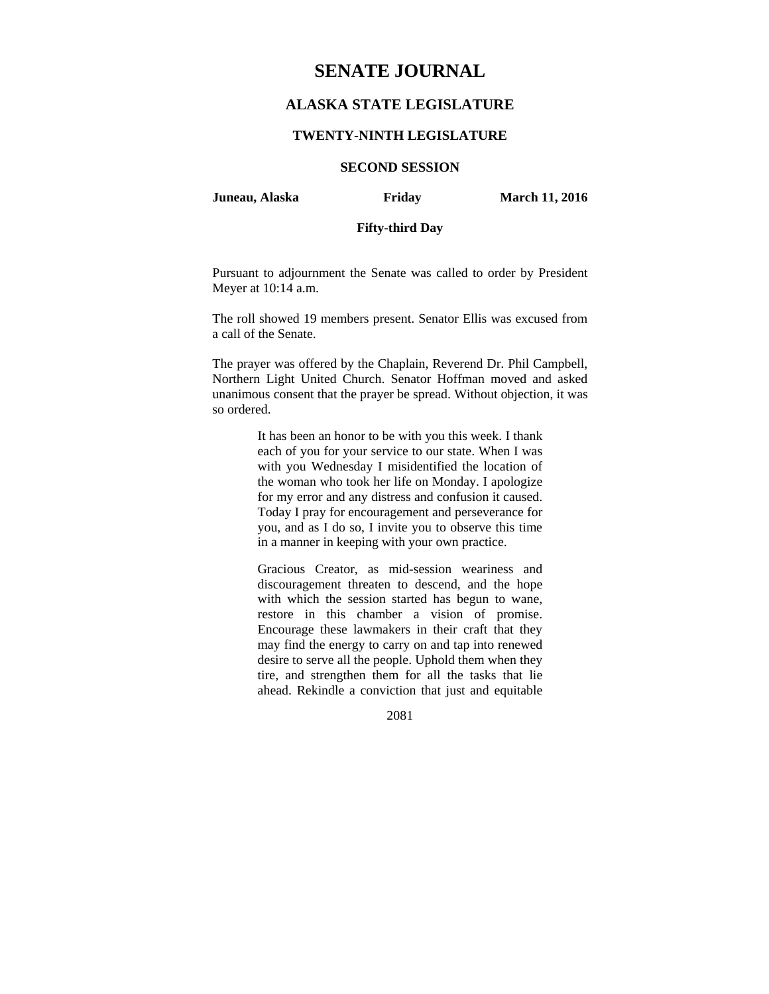# **SENATE JOURNAL**

# **ALASKA STATE LEGISLATURE**

### **TWENTY-NINTH LEGISLATURE**

# **SECOND SESSION**

**Juneau, Alaska Friday March 11, 2016** 

# **Fifty-third Day**

Pursuant to adjournment the Senate was called to order by President Meyer at 10:14 a.m.

The roll showed 19 members present. Senator Ellis was excused from a call of the Senate.

The prayer was offered by the Chaplain, Reverend Dr. Phil Campbell, Northern Light United Church. Senator Hoffman moved and asked unanimous consent that the prayer be spread. Without objection, it was so ordered.

> It has been an honor to be with you this week. I thank each of you for your service to our state. When I was with you Wednesday I misidentified the location of the woman who took her life on Monday. I apologize for my error and any distress and confusion it caused. Today I pray for encouragement and perseverance for you, and as I do so, I invite you to observe this time in a manner in keeping with your own practice.

> Gracious Creator, as mid-session weariness and discouragement threaten to descend, and the hope with which the session started has begun to wane, restore in this chamber a vision of promise. Encourage these lawmakers in their craft that they may find the energy to carry on and tap into renewed desire to serve all the people. Uphold them when they tire, and strengthen them for all the tasks that lie ahead. Rekindle a conviction that just and equitable

> > 2081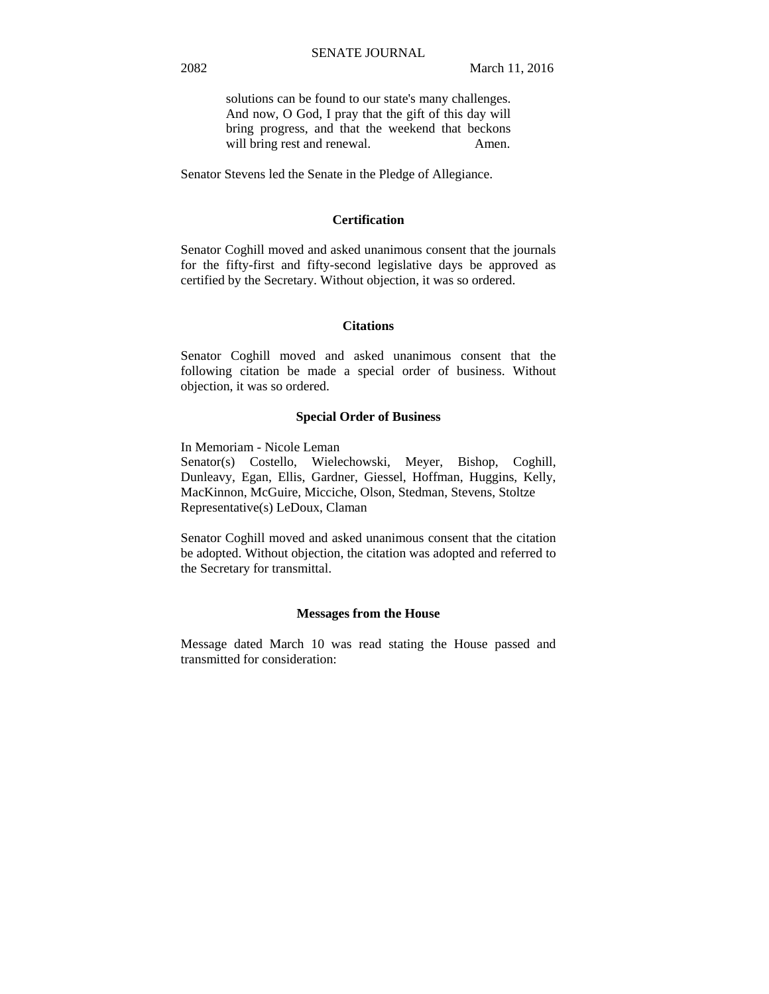solutions can be found to our state's many challenges. And now, O God, I pray that the gift of this day will bring progress, and that the weekend that beckons will bring rest and renewal. Amen.

Senator Stevens led the Senate in the Pledge of Allegiance.

#### **Certification**

Senator Coghill moved and asked unanimous consent that the journals for the fifty-first and fifty-second legislative days be approved as certified by the Secretary. Without objection, it was so ordered.

# **Citations**

Senator Coghill moved and asked unanimous consent that the following citation be made a special order of business. Without objection, it was so ordered.

#### **Special Order of Business**

In Memoriam - Nicole Leman

Senator(s) Costello, Wielechowski, Meyer, Bishop, Coghill, Dunleavy, Egan, Ellis, Gardner, Giessel, Hoffman, Huggins, Kelly, MacKinnon, McGuire, Micciche, Olson, Stedman, Stevens, Stoltze Representative(s) LeDoux, Claman

Senator Coghill moved and asked unanimous consent that the citation be adopted. Without objection, the citation was adopted and referred to the Secretary for transmittal.

#### **Messages from the House**

Message dated March 10 was read stating the House passed and transmitted for consideration: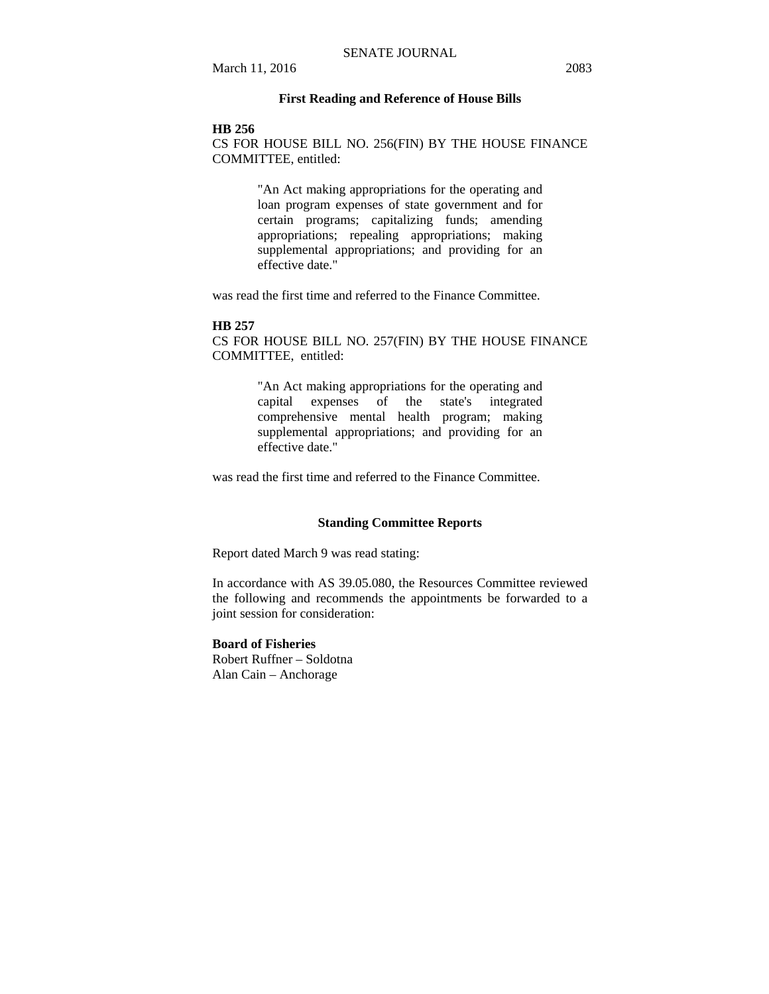# **First Reading and Reference of House Bills**

#### **HB 256**

CS FOR HOUSE BILL NO. 256(FIN) BY THE HOUSE FINANCE COMMITTEE, entitled:

> "An Act making appropriations for the operating and loan program expenses of state government and for certain programs; capitalizing funds; amending appropriations; repealing appropriations; making supplemental appropriations; and providing for an effective date."

was read the first time and referred to the Finance Committee.

#### **HB 257**

CS FOR HOUSE BILL NO. 257(FIN) BY THE HOUSE FINANCE COMMITTEE, entitled:

> "An Act making appropriations for the operating and capital expenses of the state's integrated comprehensive mental health program; making supplemental appropriations; and providing for an effective date."

was read the first time and referred to the Finance Committee.

#### **Standing Committee Reports**

Report dated March 9 was read stating:

In accordance with AS 39.05.080, the Resources Committee reviewed the following and recommends the appointments be forwarded to a joint session for consideration:

# **Board of Fisheries**

Robert Ruffner – Soldotna Alan Cain – Anchorage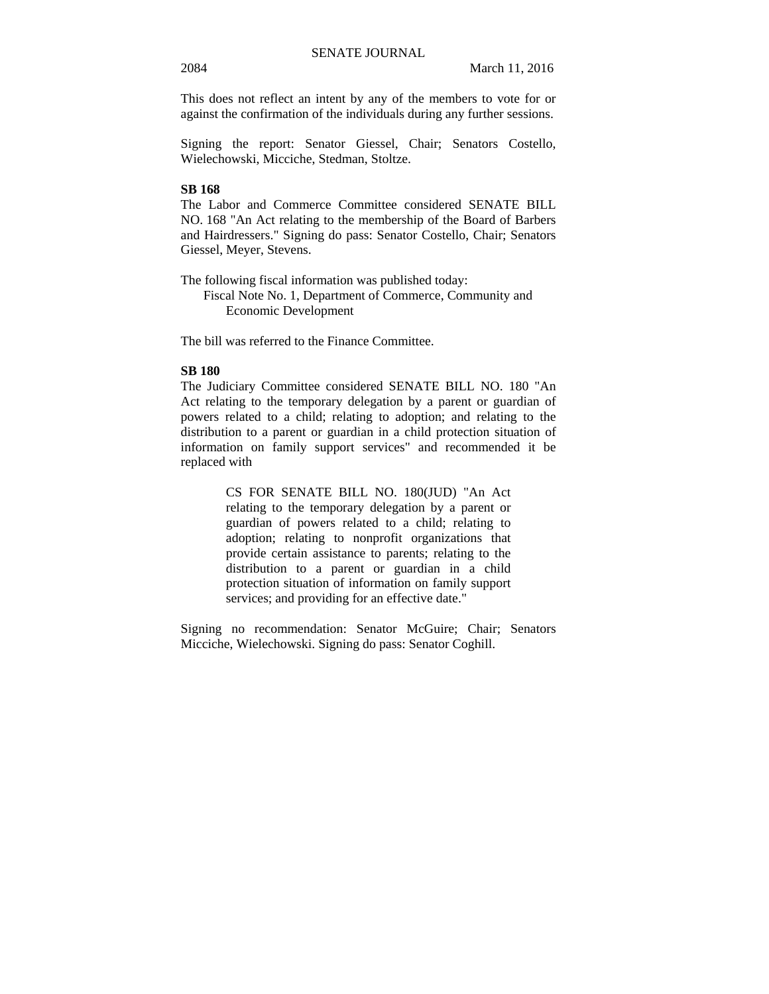This does not reflect an intent by any of the members to vote for or against the confirmation of the individuals during any further sessions.

Signing the report: Senator Giessel, Chair; Senators Costello, Wielechowski, Micciche, Stedman, Stoltze.

#### **SB 168**

The Labor and Commerce Committee considered SENATE BILL NO. 168 "An Act relating to the membership of the Board of Barbers and Hairdressers." Signing do pass: Senator Costello, Chair; Senators Giessel, Meyer, Stevens.

The following fiscal information was published today:

Fiscal Note No. 1, Department of Commerce, Community and Economic Development

The bill was referred to the Finance Committee.

#### **SB 180**

The Judiciary Committee considered SENATE BILL NO. 180 "An Act relating to the temporary delegation by a parent or guardian of powers related to a child; relating to adoption; and relating to the distribution to a parent or guardian in a child protection situation of information on family support services" and recommended it be replaced with

> CS FOR SENATE BILL NO. 180(JUD) "An Act relating to the temporary delegation by a parent or guardian of powers related to a child; relating to adoption; relating to nonprofit organizations that provide certain assistance to parents; relating to the distribution to a parent or guardian in a child protection situation of information on family support services; and providing for an effective date."

Signing no recommendation: Senator McGuire; Chair; Senators Micciche, Wielechowski. Signing do pass: Senator Coghill.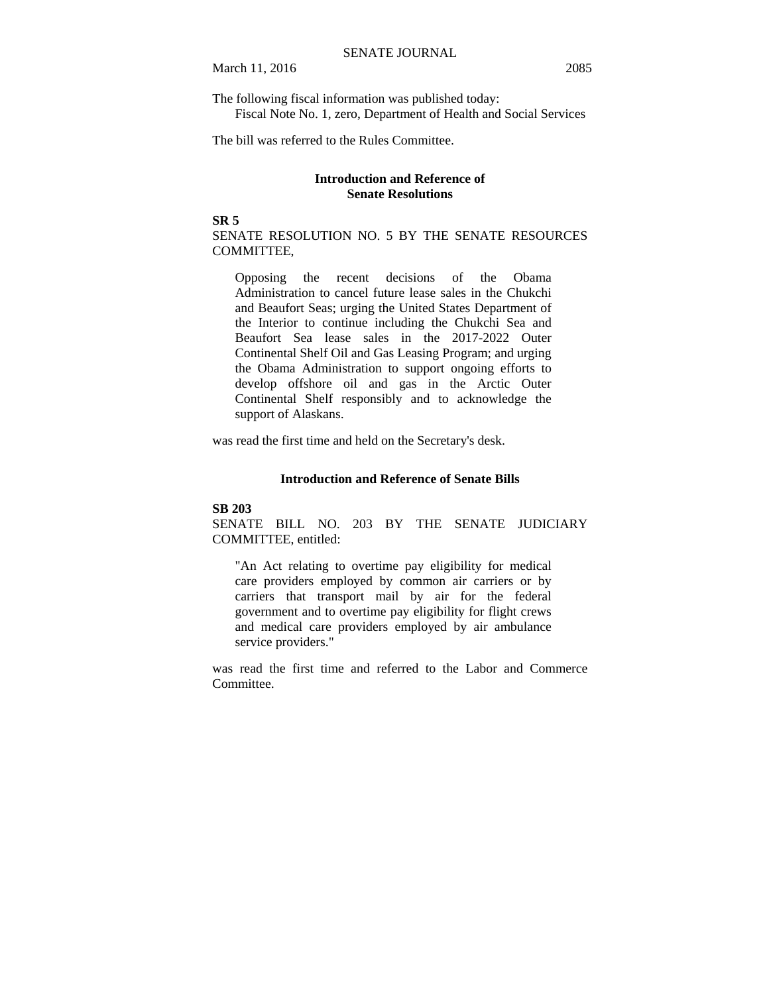The following fiscal information was published today: Fiscal Note No. 1, zero, Department of Health and Social Services

The bill was referred to the Rules Committee.

# **Introduction and Reference of Senate Resolutions**

#### **SR 5**

SENATE RESOLUTION NO. 5 BY THE SENATE RESOURCES COMMITTEE,

Opposing the recent decisions of the Obama Administration to cancel future lease sales in the Chukchi and Beaufort Seas; urging the United States Department of the Interior to continue including the Chukchi Sea and Beaufort Sea lease sales in the 2017-2022 Outer Continental Shelf Oil and Gas Leasing Program; and urging the Obama Administration to support ongoing efforts to develop offshore oil and gas in the Arctic Outer Continental Shelf responsibly and to acknowledge the support of Alaskans.

was read the first time and held on the Secretary's desk.

#### **Introduction and Reference of Senate Bills**

#### **SB 203**

SENATE BILL NO. 203 BY THE SENATE JUDICIARY COMMITTEE, entitled:

"An Act relating to overtime pay eligibility for medical care providers employed by common air carriers or by carriers that transport mail by air for the federal government and to overtime pay eligibility for flight crews and medical care providers employed by air ambulance service providers."

was read the first time and referred to the Labor and Commerce Committee.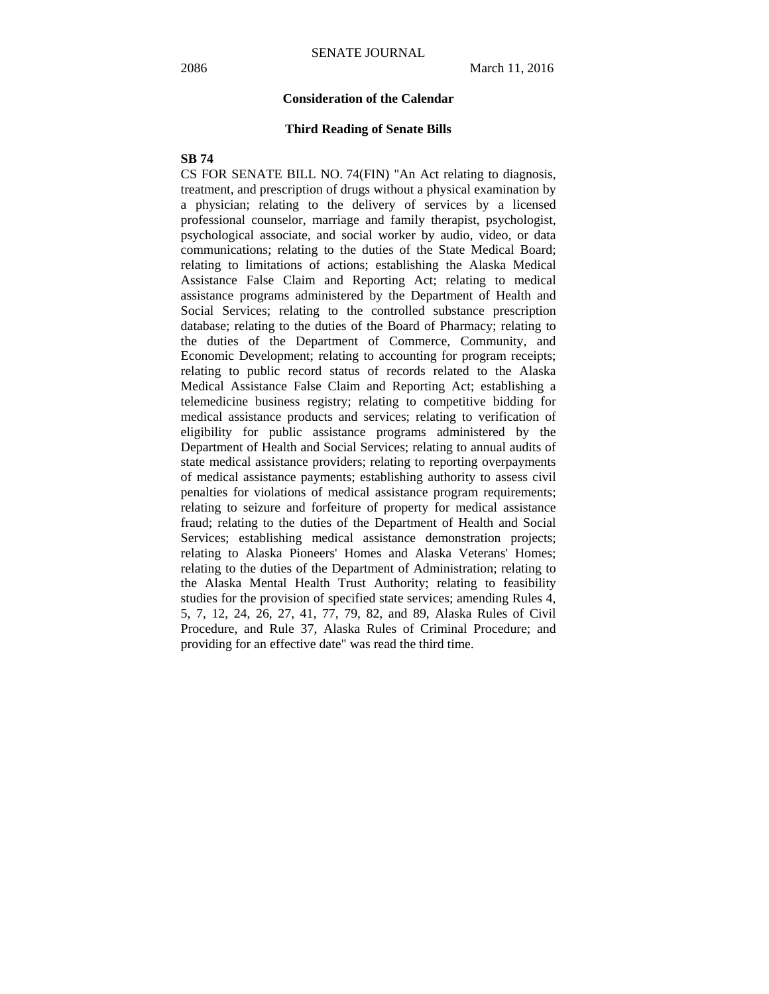#### **Consideration of the Calendar**

#### **Third Reading of Senate Bills**

#### **SB 74**

CS FOR SENATE BILL NO. 74(FIN) "An Act relating to diagnosis, treatment, and prescription of drugs without a physical examination by a physician; relating to the delivery of services by a licensed professional counselor, marriage and family therapist, psychologist, psychological associate, and social worker by audio, video, or data communications; relating to the duties of the State Medical Board; relating to limitations of actions; establishing the Alaska Medical Assistance False Claim and Reporting Act; relating to medical assistance programs administered by the Department of Health and Social Services; relating to the controlled substance prescription database; relating to the duties of the Board of Pharmacy; relating to the duties of the Department of Commerce, Community, and Economic Development; relating to accounting for program receipts; relating to public record status of records related to the Alaska Medical Assistance False Claim and Reporting Act; establishing a telemedicine business registry; relating to competitive bidding for medical assistance products and services; relating to verification of eligibility for public assistance programs administered by the Department of Health and Social Services; relating to annual audits of state medical assistance providers; relating to reporting overpayments of medical assistance payments; establishing authority to assess civil penalties for violations of medical assistance program requirements; relating to seizure and forfeiture of property for medical assistance fraud; relating to the duties of the Department of Health and Social Services; establishing medical assistance demonstration projects; relating to Alaska Pioneers' Homes and Alaska Veterans' Homes; relating to the duties of the Department of Administration; relating to the Alaska Mental Health Trust Authority; relating to feasibility studies for the provision of specified state services; amending Rules 4, 5, 7, 12, 24, 26, 27, 41, 77, 79, 82, and 89, Alaska Rules of Civil Procedure, and Rule 37, Alaska Rules of Criminal Procedure; and providing for an effective date" was read the third time.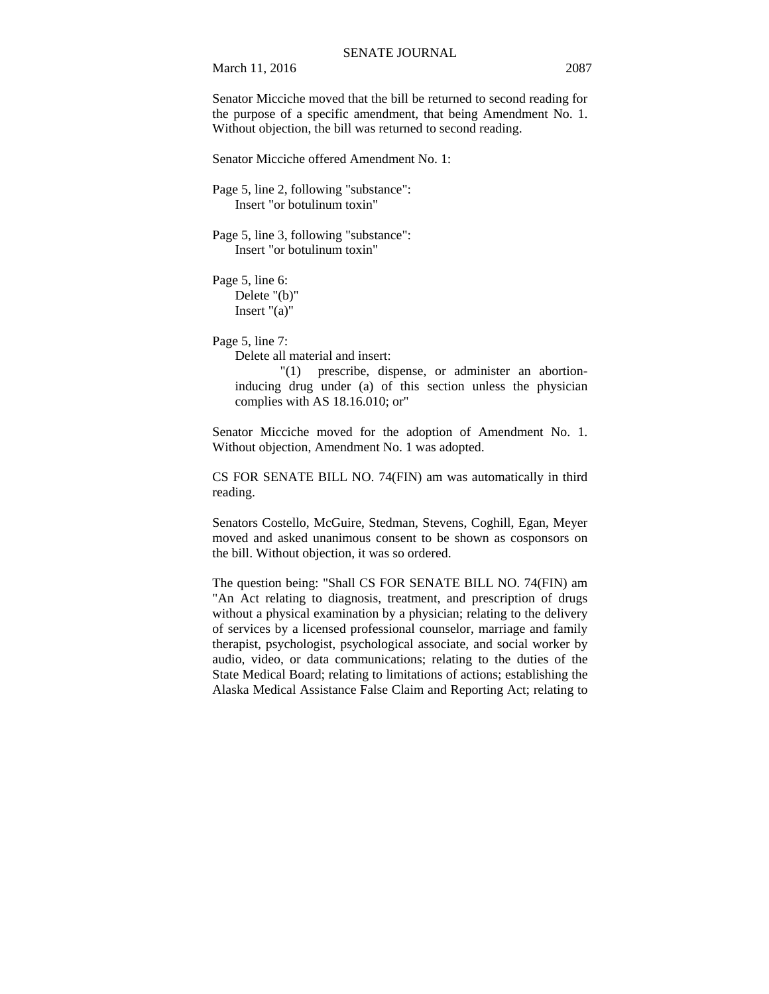March 11, 2016 2087

Senator Micciche moved that the bill be returned to second reading for the purpose of a specific amendment, that being Amendment No. 1. Without objection, the bill was returned to second reading.

Senator Micciche offered Amendment No. 1:

Page 5, line 2, following "substance": Insert "or botulinum toxin"

Page 5, line 3, following "substance": Insert "or botulinum toxin"

Page 5, line 6: Delete "(b)" Insert "(a)"

Page 5, line 7:

Delete all material and insert:

"(1) prescribe, dispense, or administer an abortioninducing drug under (a) of this section unless the physician complies with AS 18.16.010; or"

Senator Micciche moved for the adoption of Amendment No. 1. Without objection, Amendment No. 1 was adopted.

CS FOR SENATE BILL NO. 74(FIN) am was automatically in third reading.

Senators Costello, McGuire, Stedman, Stevens, Coghill, Egan, Meyer moved and asked unanimous consent to be shown as cosponsors on the bill. Without objection, it was so ordered.

The question being: "Shall CS FOR SENATE BILL NO. 74(FIN) am "An Act relating to diagnosis, treatment, and prescription of drugs without a physical examination by a physician; relating to the delivery of services by a licensed professional counselor, marriage and family therapist, psychologist, psychological associate, and social worker by audio, video, or data communications; relating to the duties of the State Medical Board; relating to limitations of actions; establishing the Alaska Medical Assistance False Claim and Reporting Act; relating to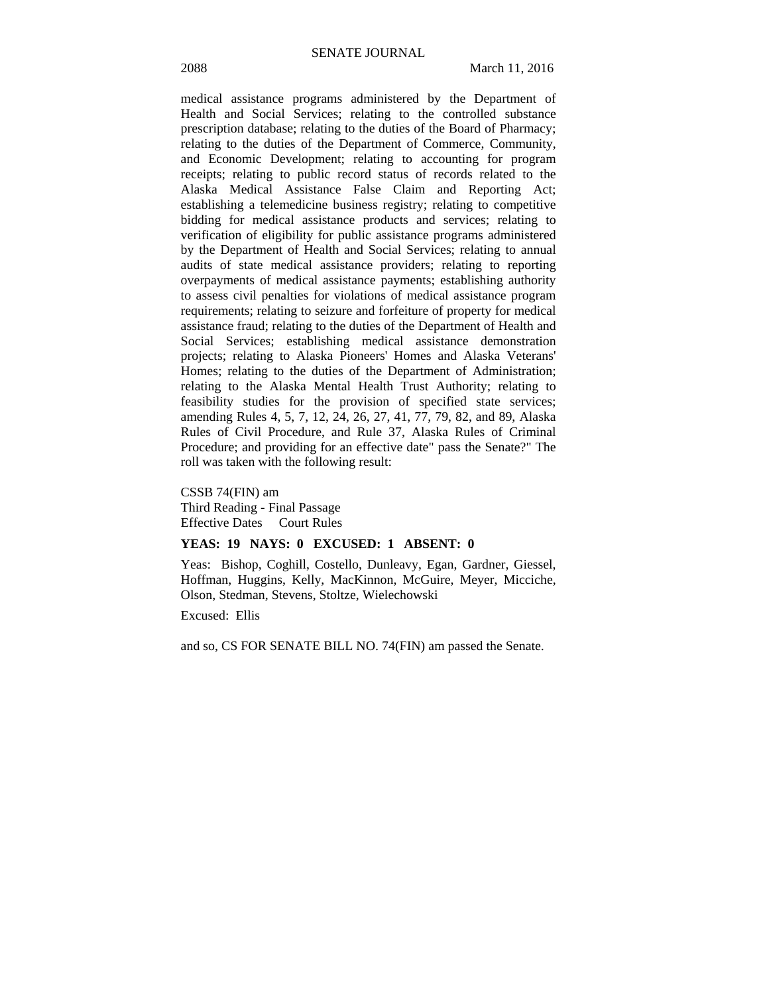medical assistance programs administered by the Department of Health and Social Services; relating to the controlled substance prescription database; relating to the duties of the Board of Pharmacy; relating to the duties of the Department of Commerce, Community, and Economic Development; relating to accounting for program receipts; relating to public record status of records related to the Alaska Medical Assistance False Claim and Reporting Act; establishing a telemedicine business registry; relating to competitive bidding for medical assistance products and services; relating to verification of eligibility for public assistance programs administered by the Department of Health and Social Services; relating to annual audits of state medical assistance providers; relating to reporting overpayments of medical assistance payments; establishing authority to assess civil penalties for violations of medical assistance program requirements; relating to seizure and forfeiture of property for medical assistance fraud; relating to the duties of the Department of Health and Social Services; establishing medical assistance demonstration projects; relating to Alaska Pioneers' Homes and Alaska Veterans' Homes; relating to the duties of the Department of Administration; relating to the Alaska Mental Health Trust Authority; relating to feasibility studies for the provision of specified state services; amending Rules 4, 5, 7, 12, 24, 26, 27, 41, 77, 79, 82, and 89, Alaska Rules of Civil Procedure, and Rule 37, Alaska Rules of Criminal Procedure; and providing for an effective date" pass the Senate?" The roll was taken with the following result:

CSSB 74(FIN) am Third Reading - Final Passage Effective Dates Court Rules

#### **YEAS: 19 NAYS: 0 EXCUSED: 1 ABSENT: 0**

Yeas: Bishop, Coghill, Costello, Dunleavy, Egan, Gardner, Giessel, Hoffman, Huggins, Kelly, MacKinnon, McGuire, Meyer, Micciche, Olson, Stedman, Stevens, Stoltze, Wielechowski

Excused: Ellis

and so, CS FOR SENATE BILL NO. 74(FIN) am passed the Senate.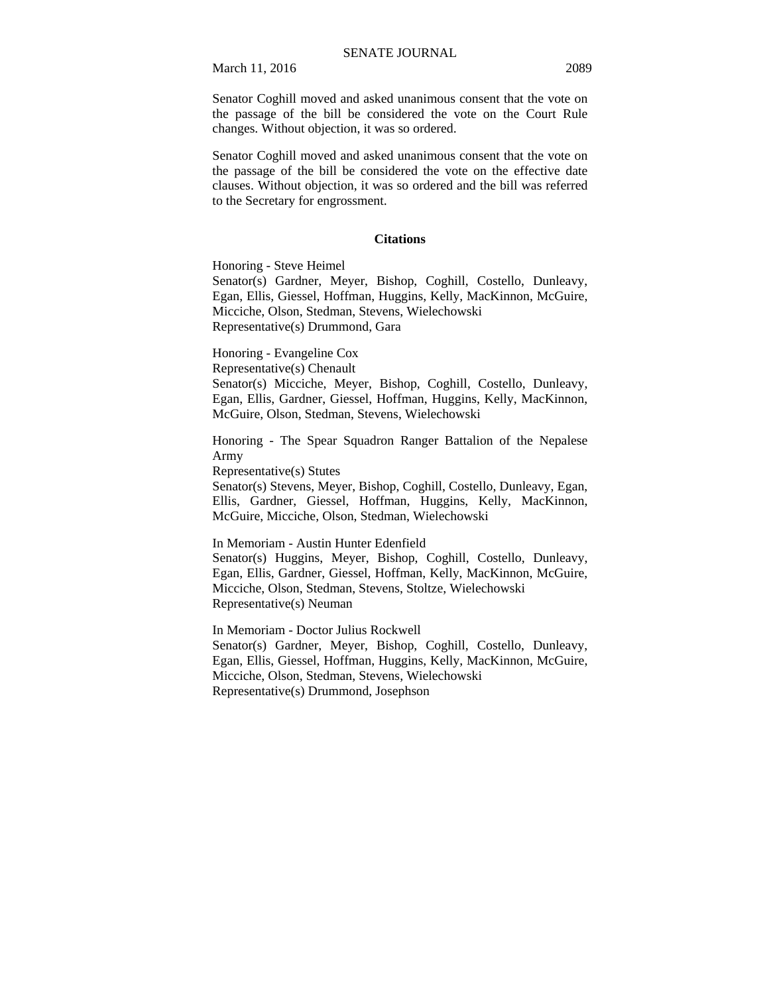Senator Coghill moved and asked unanimous consent that the vote on the passage of the bill be considered the vote on the Court Rule changes. Without objection, it was so ordered.

Senator Coghill moved and asked unanimous consent that the vote on the passage of the bill be considered the vote on the effective date clauses. Without objection, it was so ordered and the bill was referred to the Secretary for engrossment.

#### **Citations**

Honoring - Steve Heimel

Senator(s) Gardner, Meyer, Bishop, Coghill, Costello, Dunleavy, Egan, Ellis, Giessel, Hoffman, Huggins, Kelly, MacKinnon, McGuire, Micciche, Olson, Stedman, Stevens, Wielechowski Representative(s) Drummond, Gara

Honoring - Evangeline Cox

Representative(s) Chenault

Senator(s) Micciche, Meyer, Bishop, Coghill, Costello, Dunleavy, Egan, Ellis, Gardner, Giessel, Hoffman, Huggins, Kelly, MacKinnon, McGuire, Olson, Stedman, Stevens, Wielechowski

Honoring - The Spear Squadron Ranger Battalion of the Nepalese Army

Representative(s) Stutes

Senator(s) Stevens, Meyer, Bishop, Coghill, Costello, Dunleavy, Egan, Ellis, Gardner, Giessel, Hoffman, Huggins, Kelly, MacKinnon, McGuire, Micciche, Olson, Stedman, Wielechowski

In Memoriam - Austin Hunter Edenfield

Senator(s) Huggins, Meyer, Bishop, Coghill, Costello, Dunleavy, Egan, Ellis, Gardner, Giessel, Hoffman, Kelly, MacKinnon, McGuire, Micciche, Olson, Stedman, Stevens, Stoltze, Wielechowski Representative(s) Neuman

In Memoriam - Doctor Julius Rockwell Senator(s) Gardner, Meyer, Bishop, Coghill, Costello, Dunleavy, Egan, Ellis, Giessel, Hoffman, Huggins, Kelly, MacKinnon, McGuire, Micciche, Olson, Stedman, Stevens, Wielechowski Representative(s) Drummond, Josephson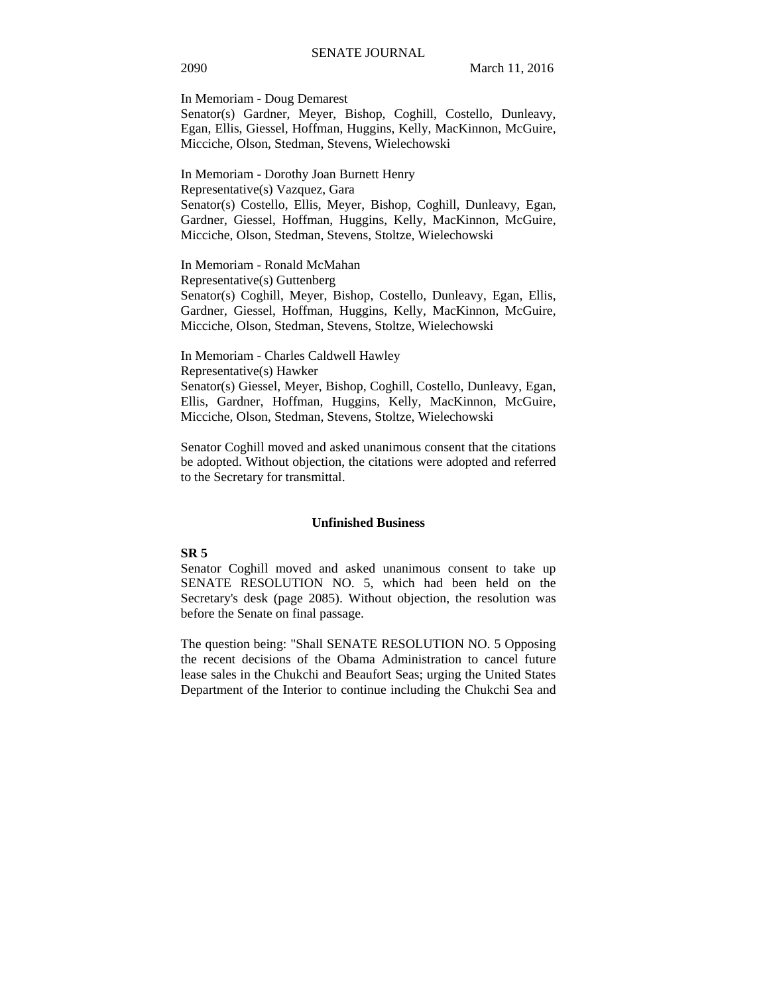In Memoriam - Doug Demarest

Senator(s) Gardner, Meyer, Bishop, Coghill, Costello, Dunleavy, Egan, Ellis, Giessel, Hoffman, Huggins, Kelly, MacKinnon, McGuire, Micciche, Olson, Stedman, Stevens, Wielechowski

In Memoriam - Dorothy Joan Burnett Henry Representative(s) Vazquez, Gara Senator(s) Costello, Ellis, Meyer, Bishop, Coghill, Dunleavy, Egan, Gardner, Giessel, Hoffman, Huggins, Kelly, MacKinnon, McGuire, Micciche, Olson, Stedman, Stevens, Stoltze, Wielechowski

In Memoriam - Ronald McMahan

Representative(s) Guttenberg

Senator(s) Coghill, Meyer, Bishop, Costello, Dunleavy, Egan, Ellis, Gardner, Giessel, Hoffman, Huggins, Kelly, MacKinnon, McGuire, Micciche, Olson, Stedman, Stevens, Stoltze, Wielechowski

In Memoriam - Charles Caldwell Hawley Representative(s) Hawker Senator(s) Giessel, Meyer, Bishop, Coghill, Costello, Dunleavy, Egan, Ellis, Gardner, Hoffman, Huggins, Kelly, MacKinnon, McGuire, Micciche, Olson, Stedman, Stevens, Stoltze, Wielechowski

Senator Coghill moved and asked unanimous consent that the citations be adopted. Without objection, the citations were adopted and referred to the Secretary for transmittal.

#### **Unfinished Business**

#### **SR 5**

Senator Coghill moved and asked unanimous consent to take up SENATE RESOLUTION NO. 5, which had been held on the Secretary's desk (page 2085). Without objection, the resolution was before the Senate on final passage.

The question being: "Shall SENATE RESOLUTION NO. 5 Opposing the recent decisions of the Obama Administration to cancel future lease sales in the Chukchi and Beaufort Seas; urging the United States Department of the Interior to continue including the Chukchi Sea and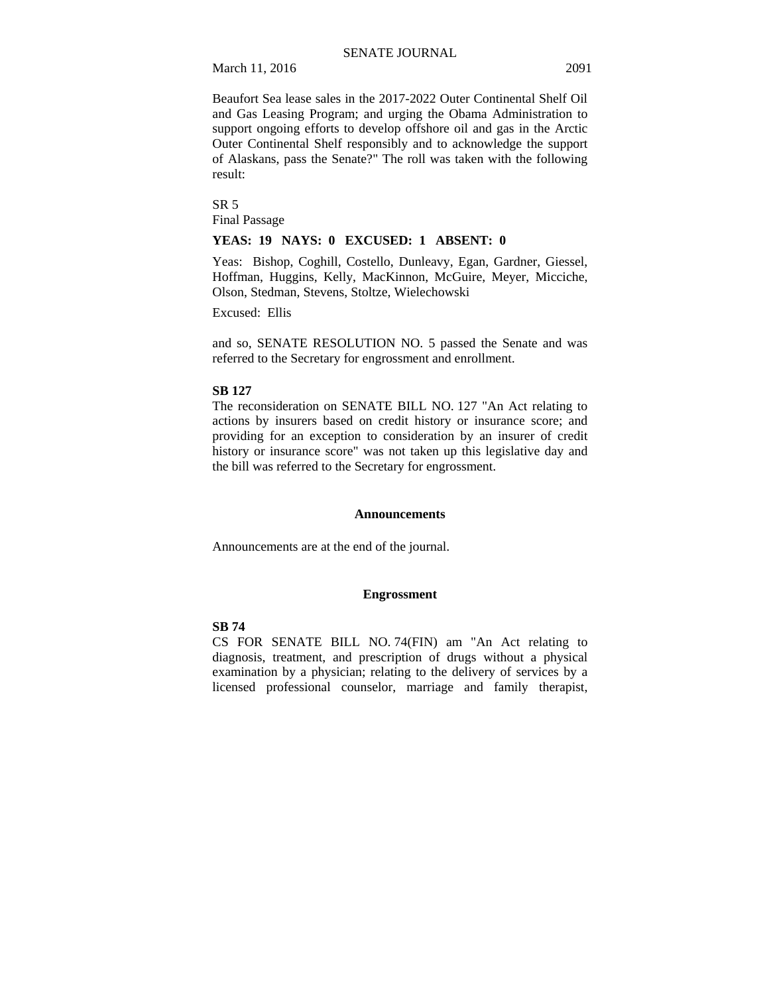March 11, 2016 2091

Beaufort Sea lease sales in the 2017-2022 Outer Continental Shelf Oil and Gas Leasing Program; and urging the Obama Administration to support ongoing efforts to develop offshore oil and gas in the Arctic Outer Continental Shelf responsibly and to acknowledge the support of Alaskans, pass the Senate?" The roll was taken with the following result:

SR 5 Final Passage

#### **YEAS: 19 NAYS: 0 EXCUSED: 1 ABSENT: 0**

Yeas: Bishop, Coghill, Costello, Dunleavy, Egan, Gardner, Giessel, Hoffman, Huggins, Kelly, MacKinnon, McGuire, Meyer, Micciche, Olson, Stedman, Stevens, Stoltze, Wielechowski

Excused: Ellis

and so, SENATE RESOLUTION NO. 5 passed the Senate and was referred to the Secretary for engrossment and enrollment.

#### **SB 127**

The reconsideration on SENATE BILL NO. 127 "An Act relating to actions by insurers based on credit history or insurance score; and providing for an exception to consideration by an insurer of credit history or insurance score" was not taken up this legislative day and the bill was referred to the Secretary for engrossment.

#### **Announcements**

Announcements are at the end of the journal.

#### **Engrossment**

#### **SB 74**

CS FOR SENATE BILL NO. 74(FIN) am "An Act relating to diagnosis, treatment, and prescription of drugs without a physical examination by a physician; relating to the delivery of services by a licensed professional counselor, marriage and family therapist,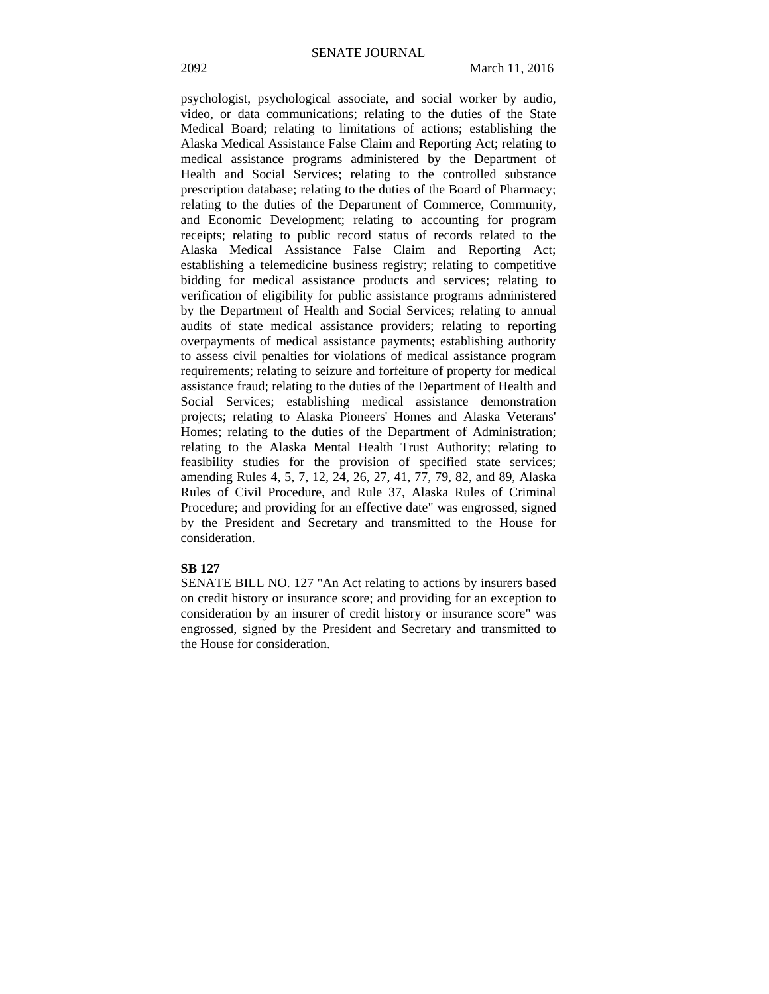psychologist, psychological associate, and social worker by audio, video, or data communications; relating to the duties of the State Medical Board; relating to limitations of actions; establishing the Alaska Medical Assistance False Claim and Reporting Act; relating to medical assistance programs administered by the Department of Health and Social Services; relating to the controlled substance prescription database; relating to the duties of the Board of Pharmacy; relating to the duties of the Department of Commerce, Community, and Economic Development; relating to accounting for program receipts; relating to public record status of records related to the Alaska Medical Assistance False Claim and Reporting Act; establishing a telemedicine business registry; relating to competitive bidding for medical assistance products and services; relating to verification of eligibility for public assistance programs administered by the Department of Health and Social Services; relating to annual audits of state medical assistance providers; relating to reporting overpayments of medical assistance payments; establishing authority to assess civil penalties for violations of medical assistance program requirements; relating to seizure and forfeiture of property for medical assistance fraud; relating to the duties of the Department of Health and Social Services; establishing medical assistance demonstration projects; relating to Alaska Pioneers' Homes and Alaska Veterans' Homes; relating to the duties of the Department of Administration; relating to the Alaska Mental Health Trust Authority; relating to feasibility studies for the provision of specified state services; amending Rules 4, 5, 7, 12, 24, 26, 27, 41, 77, 79, 82, and 89, Alaska Rules of Civil Procedure, and Rule 37, Alaska Rules of Criminal Procedure; and providing for an effective date" was engrossed, signed by the President and Secretary and transmitted to the House for consideration.

#### **SB 127**

SENATE BILL NO. 127 "An Act relating to actions by insurers based on credit history or insurance score; and providing for an exception to consideration by an insurer of credit history or insurance score" was engrossed, signed by the President and Secretary and transmitted to the House for consideration.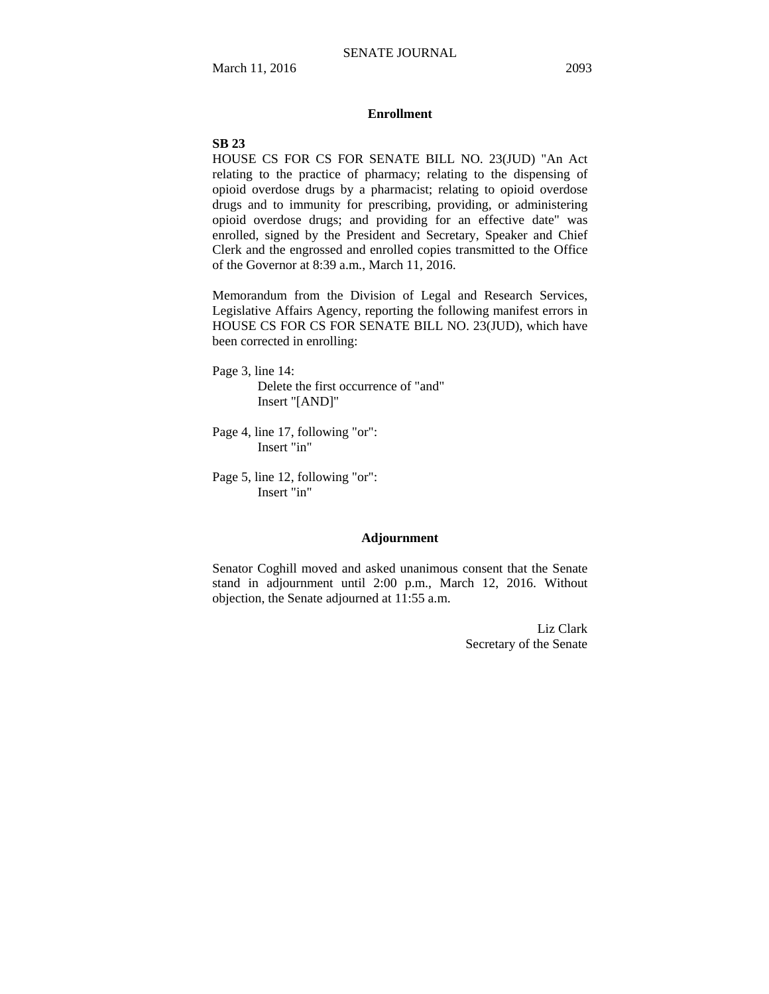#### **Enrollment**

## **SB 23**

HOUSE CS FOR CS FOR SENATE BILL NO. 23(JUD) "An Act relating to the practice of pharmacy; relating to the dispensing of opioid overdose drugs by a pharmacist; relating to opioid overdose drugs and to immunity for prescribing, providing, or administering opioid overdose drugs; and providing for an effective date" was enrolled, signed by the President and Secretary, Speaker and Chief Clerk and the engrossed and enrolled copies transmitted to the Office of the Governor at 8:39 a.m., March 11, 2016.

Memorandum from the Division of Legal and Research Services, Legislative Affairs Agency, reporting the following manifest errors in HOUSE CS FOR CS FOR SENATE BILL NO. 23(JUD), which have been corrected in enrolling:

- Page 3, line 14: Delete the first occurrence of "and" Insert "[AND]"
- Page 4, line 17, following "or": Insert "in"
- Page 5, line 12, following "or": Insert "in"

### **Adjournment**

Senator Coghill moved and asked unanimous consent that the Senate stand in adjournment until 2:00 p.m., March 12, 2016. Without objection, the Senate adjourned at 11:55 a.m.

> Liz Clark Secretary of the Senate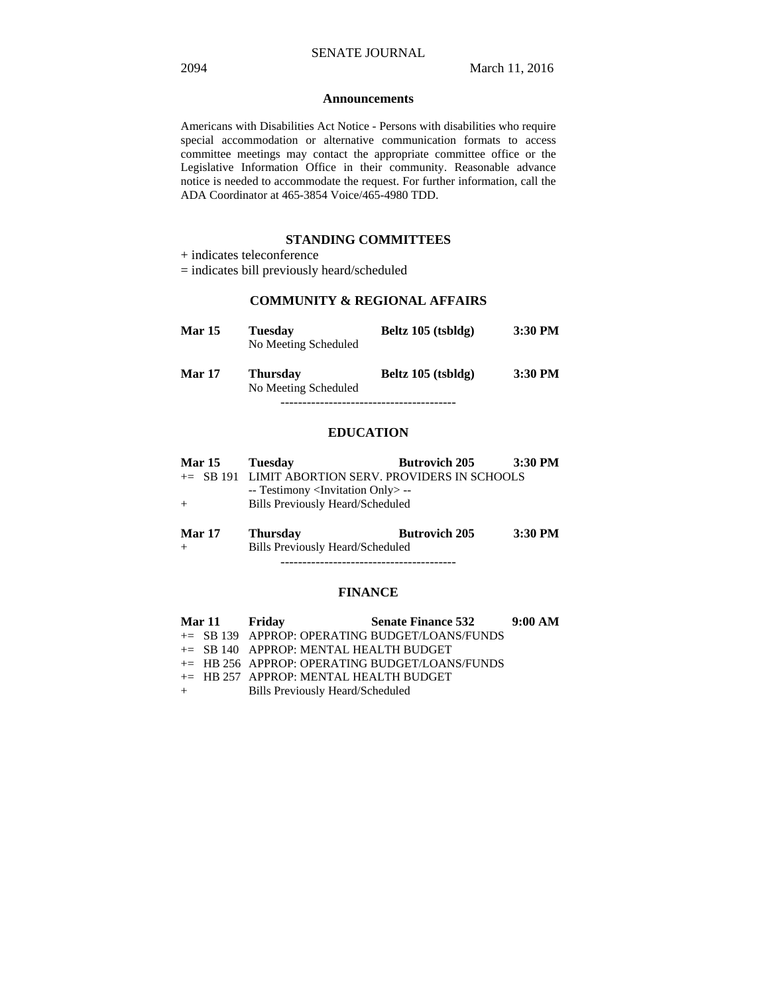#### **Announcements**

Americans with Disabilities Act Notice - Persons with disabilities who require special accommodation or alternative communication formats to access committee meetings may contact the appropriate committee office or the Legislative Information Office in their community. Reasonable advance notice is needed to accommodate the request. For further information, call the ADA Coordinator at 465-3854 Voice/465-4980 TDD.

## **STANDING COMMITTEES**

# **COMMUNITY & REGIONAL AFFAIRS**

| <b>Mar 15</b> | <b>Tuesday</b><br>No Meeting Scheduled  | Beltz 105 (tsbldg) | 3:30 PM   |
|---------------|-----------------------------------------|--------------------|-----------|
| <b>Mar 17</b> | <b>Thursday</b><br>No Meeting Scheduled | Beltz 105 (tsbldg) | $3:30$ PM |
|               |                                         |                    |           |

## **EDUCATION**

|        | <b>Mar 15</b> | Tuesday                                                | <b>Butrovich 205</b> | 3:30 PM |
|--------|---------------|--------------------------------------------------------|----------------------|---------|
|        |               | $\pm$ SB 191 LIMIT ABORTION SERV. PROVIDERS IN SCHOOLS |                      |         |
|        |               | -- Testimony <invitation only=""> --</invitation>      |                      |         |
| $+$    |               | Bills Previously Heard/Scheduled                       |                      |         |
|        |               |                                                        |                      |         |
| Mor 17 |               | Thuredov                                               | <b>Rutrovich 205</b> | 3.30 PM |

**Mar 17 Thursday Butrovich 205 3:30 PM**  + Bills Previously Heard/Scheduled ----------------------------------------

#### **FINANCE**

| Mar 11 Friday |                                           | <b>Senate Finance 532</b>                         | 9:00 AM |
|---------------|-------------------------------------------|---------------------------------------------------|---------|
|               |                                           | $\pm$ SB 139 APPROP: OPERATING BUDGET/LOANS/FUNDS |         |
|               | $\pm$ SB 140 APPROP: MENTAL HEALTH BUDGET |                                                   |         |
|               |                                           | $\pm$ HB 256 APPROP: OPERATING BUDGET/LOANS/FUNDS |         |
|               | $+=$ HB 257 APPROP: MENTAL HEALTH BUDGET  |                                                   |         |
| $+$ $-$       | <b>Bills Previously Heard/Scheduled</b>   |                                                   |         |

<sup>+</sup> indicates teleconference

<sup>=</sup> indicates bill previously heard/scheduled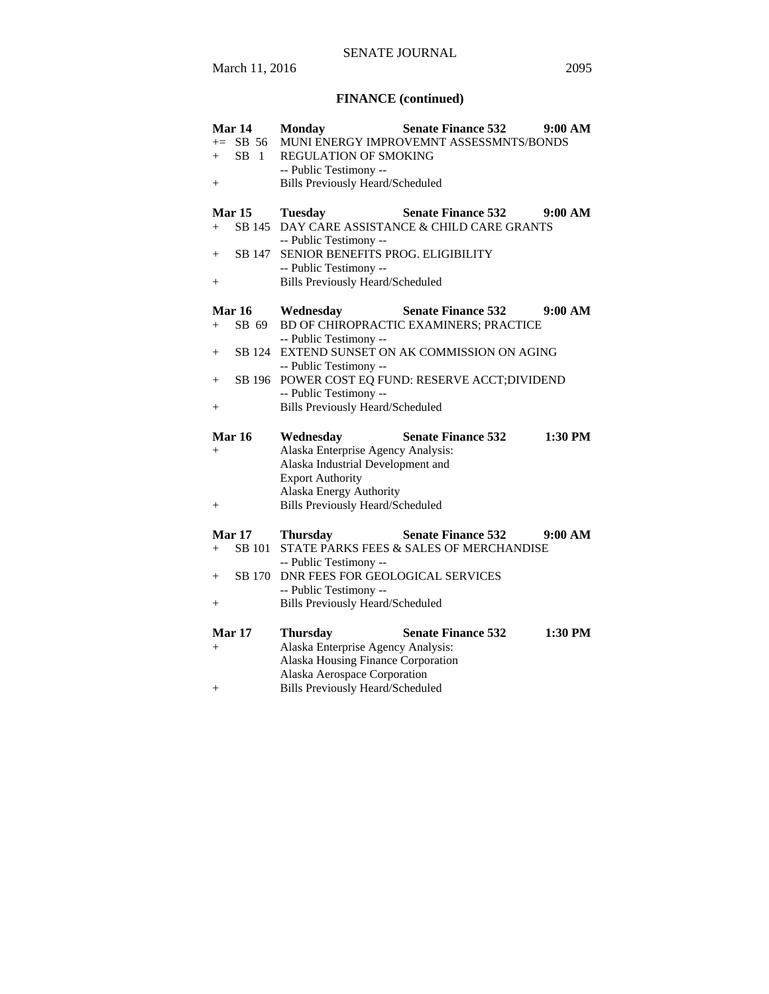# SENATE JOURNAL

# **FINANCE (continued)**

| Mar 14           | <b>Monday</b>                           | <b>Senate Finance 532</b>                  | 9:00 AM |
|------------------|-----------------------------------------|--------------------------------------------|---------|
| $+=$ SB 56       |                                         | MUNI ENERGY IMPROVEMNT ASSESSMNTS/BONDS    |         |
| SB 1<br>$+$      | <b>REGULATION OF SMOKING</b>            |                                            |         |
|                  | -- Public Testimony --                  |                                            |         |
| $^{+}$           | <b>Bills Previously Heard/Scheduled</b> |                                            |         |
|                  |                                         |                                            |         |
| <b>Mar 15</b>    | <b>Tuesday</b>                          | <b>Senate Finance 532</b>                  | 9:00 AM |
| SB 145<br>$+$    |                                         | DAY CARE ASSISTANCE & CHILD CARE GRANTS    |         |
|                  | -- Public Testimony --                  |                                            |         |
| SB 147<br>$+$    | SENIOR BENEFITS PROG. ELIGIBILITY       |                                            |         |
|                  | -- Public Testimony --                  |                                            |         |
| $^{+}$           | <b>Bills Previously Heard/Scheduled</b> |                                            |         |
|                  |                                         |                                            |         |
| <b>Mar 16</b>    | Wednesday                               | <b>Senate Finance 532</b>                  | 9:00 AM |
| SB 69<br>$+$     |                                         | BD OF CHIROPRACTIC EXAMINERS; PRACTICE     |         |
|                  | -- Public Testimony --                  |                                            |         |
| SB 124<br>$^{+}$ |                                         | EXTEND SUNSET ON AK COMMISSION ON AGING    |         |
|                  | -- Public Testimony --                  |                                            |         |
| SB 196<br>$^{+}$ |                                         | POWER COST EQ FUND: RESERVE ACCT; DIVIDEND |         |
|                  | -- Public Testimony --                  |                                            |         |
| $^{+}$           | <b>Bills Previously Heard/Scheduled</b> |                                            |         |
|                  |                                         |                                            |         |
| <b>Mar 16</b>    | Wednesday                               | <b>Senate Finance 532</b>                  | 1:30 PM |
| $+$              | Alaska Enterprise Agency Analysis:      |                                            |         |
|                  | Alaska Industrial Development and       |                                            |         |
|                  | <b>Export Authority</b>                 |                                            |         |
|                  | Alaska Energy Authority                 |                                            |         |
| $^{+}$           | <b>Bills Previously Heard/Scheduled</b> |                                            |         |
|                  |                                         |                                            |         |
| <b>Mar 17</b>    | <b>Thursday</b>                         | <b>Senate Finance 532</b>                  | 9:00 AM |
| SB 101<br>$+$    |                                         | STATE PARKS FEES & SALES OF MERCHANDISE    |         |
|                  | -- Public Testimony --                  |                                            |         |
| SB 170<br>$+$    | DNR FEES FOR GEOLOGICAL SERVICES        |                                            |         |
|                  | -- Public Testimony --                  |                                            |         |
| $+$              | <b>Bills Previously Heard/Scheduled</b> |                                            |         |
|                  |                                         |                                            |         |
| Mar 17           | <b>Thursday</b>                         | <b>Senate Finance 532</b>                  | 1:30 PM |
| $+$              | Alaska Enterprise Agency Analysis:      |                                            |         |
|                  | Alaska Housing Finance Corporation      |                                            |         |
|                  | Alaska Aerospace Corporation            |                                            |         |
| $+$              | <b>Bills Previously Heard/Scheduled</b> |                                            |         |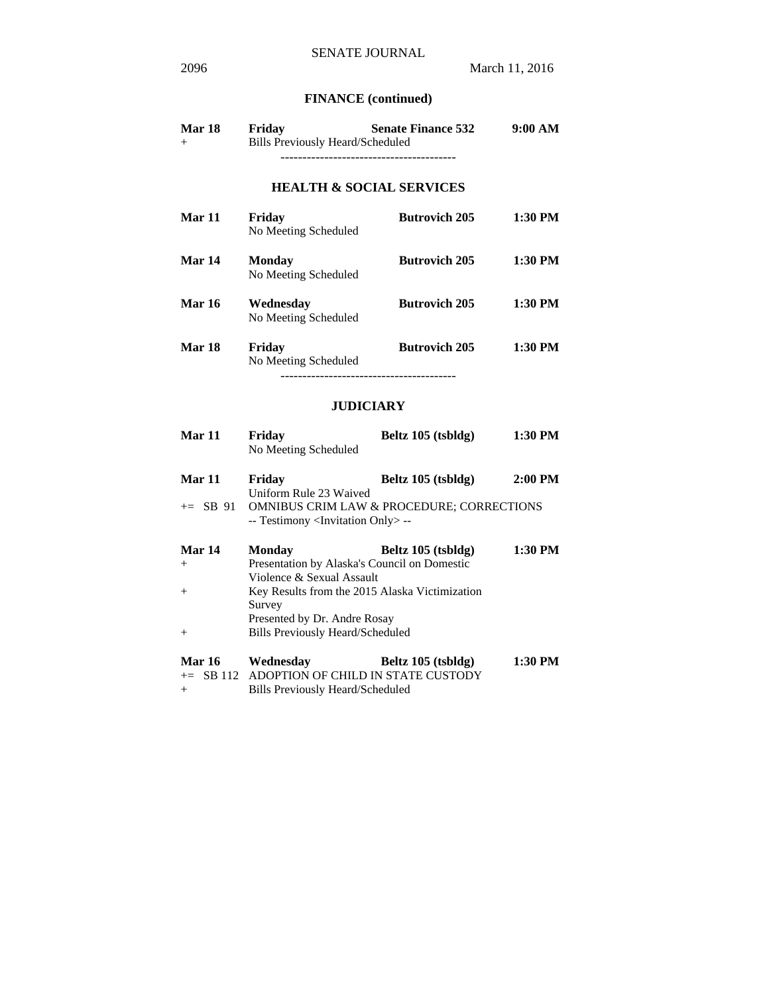# **FINANCE (continued)**

| Mar 18 | Friday | <b>Senate Finance 532</b>               | 9:00 AM |
|--------|--------|-----------------------------------------|---------|
| $^{+}$ |        | <b>Bills Previously Heard/Scheduled</b> |         |
|        |        |                                         |         |

# **HEALTH & SOCIAL SERVICES**

| Mar 11        | Friday<br>No Meeting Scheduled        | <b>Butrovich 205</b> | 1:30 PM |
|---------------|---------------------------------------|----------------------|---------|
| Mar 14        | <b>Monday</b><br>No Meeting Scheduled | <b>Butrovich 205</b> | 1:30 PM |
| <b>Mar 16</b> | Wednesdav<br>No Meeting Scheduled     | <b>Butrovich 205</b> | 1:30 PM |
| Mar 18        | Friday<br>No Meeting Scheduled        | <b>Butrovich 205</b> | 1:30 PM |
|               |                                       |                      |         |

# **JUDICIARY**

| Mar 11        | Friday                                            | Beltz 105 (tsbldg)                                   | 1:30 PM   |
|---------------|---------------------------------------------------|------------------------------------------------------|-----------|
|               | No Meeting Scheduled                              |                                                      |           |
| Mar 11        | Friday                                            | Beltz 105 (tsbldg)                                   | $2:00$ PM |
|               | Uniform Rule 23 Waived                            |                                                      |           |
| $\pm$ SB 91   |                                                   | <b>OMNIBUS CRIM LAW &amp; PROCEDURE; CORRECTIONS</b> |           |
|               | -- Testimony <invitation only=""> --</invitation> |                                                      |           |
| <b>Mar 14</b> | Monday                                            | Beltz 105 (tsbldg)                                   | 1:30 PM   |
| $^{+}$        | Presentation by Alaska's Council on Domestic      |                                                      |           |
|               | Violence & Sexual Assault                         |                                                      |           |
| $+$           | Key Results from the 2015 Alaska Victimization    |                                                      |           |
|               | Survey                                            |                                                      |           |
|               | Presented by Dr. Andre Rosay                      |                                                      |           |
| $+$           | <b>Bills Previously Heard/Scheduled</b>           |                                                      |           |
| <b>Mar 16</b> | Wednesday                                         | Beltz 105 (tsbldg)                                   | 1:30 PM   |
|               | $\pm$ SB 112 ADOPTION OF CHILD IN STATE CUSTODY   |                                                      |           |

+ Bills Previously Heard/Scheduled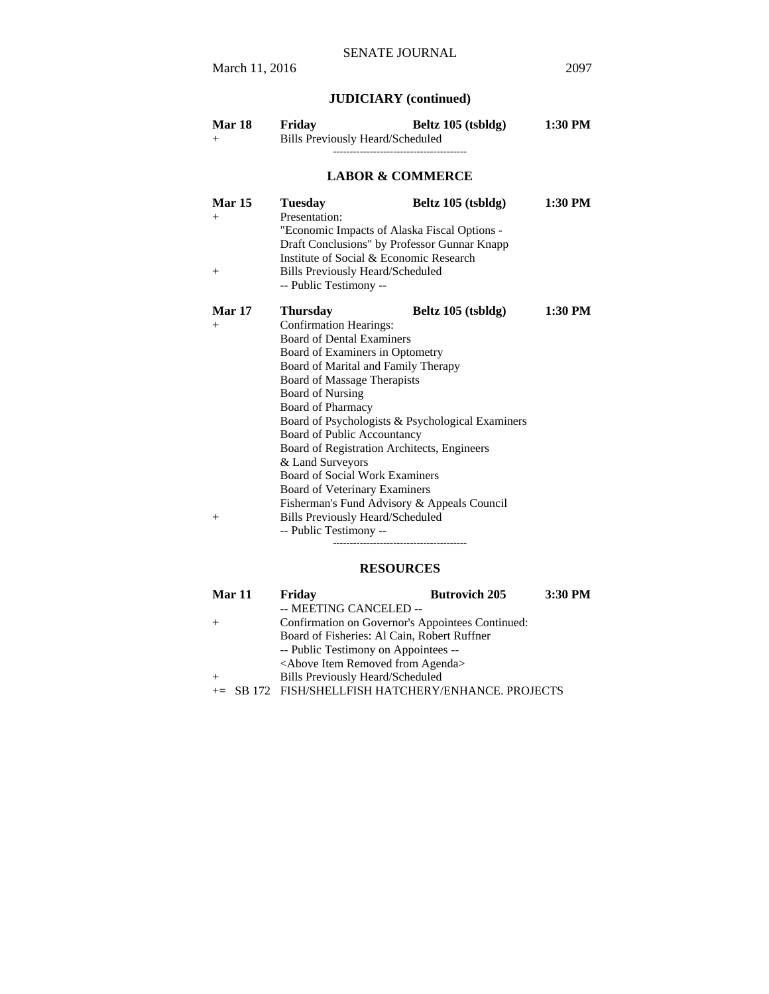# **JUDICIARY (continued)**

| $^{+}$                            | Friday<br><b>Bills Previously Heard/Scheduled</b>                                                                                                                                                                                                                                                                                                                                                                                                                           | Beltz 105 (tsbldg)                                                                                                    | $1:30$ PM |
|-----------------------------------|-----------------------------------------------------------------------------------------------------------------------------------------------------------------------------------------------------------------------------------------------------------------------------------------------------------------------------------------------------------------------------------------------------------------------------------------------------------------------------|-----------------------------------------------------------------------------------------------------------------------|-----------|
|                                   |                                                                                                                                                                                                                                                                                                                                                                                                                                                                             | <b>LABOR &amp; COMMERCE</b>                                                                                           |           |
| <b>Mar 15</b><br>$^{+}$<br>$+$    | <b>Tuesday</b><br>Presentation:<br>"Economic Impacts of Alaska Fiscal Options -<br>Institute of Social & Economic Research<br><b>Bills Previously Heard/Scheduled</b><br>-- Public Testimony --                                                                                                                                                                                                                                                                             | Beltz 105 (tsbldg)<br>Draft Conclusions" by Professor Gunnar Knapp                                                    | $1:30$ PM |
| <b>Mar 17</b><br>$^{+}$<br>$^{+}$ | <b>Thursday</b><br><b>Confirmation Hearings:</b><br><b>Board of Dental Examiners</b><br>Board of Examiners in Optometry<br>Board of Marital and Family Therapy<br>Board of Massage Therapists<br><b>Board of Nursing</b><br><b>Board of Pharmacy</b><br>Board of Public Accountancy<br>Board of Registration Architects, Engineers<br>& Land Surveyors<br><b>Board of Social Work Examiners</b><br>Board of Veterinary Examiners<br><b>Bills Previously Heard/Scheduled</b> | Beltz 105 (tsbldg)<br>Board of Psychologists & Psychological Examiners<br>Fisherman's Fund Advisory & Appeals Council | $1:30$ PM |

# **RESOURCES**

| <b>Mar 11</b> | Friday                                               | <b>Butrovich 205</b> | 3:30 PM |
|---------------|------------------------------------------------------|----------------------|---------|
|               | -- MEETING CANCELED --                               |                      |         |
|               | Confirmation on Governor's Appointees Continued:     |                      |         |
|               | Board of Fisheries: Al Cain, Robert Ruffner          |                      |         |
|               | -- Public Testimony on Appointees --                 |                      |         |
|               | <above agenda="" from="" item="" removed=""></above> |                      |         |
| $+$           | <b>Bills Previously Heard/Scheduled</b>              |                      |         |
|               | += SB 172 FISH/SHELLFISH HATCHERY/ENHANCE. PROJECTS  |                      |         |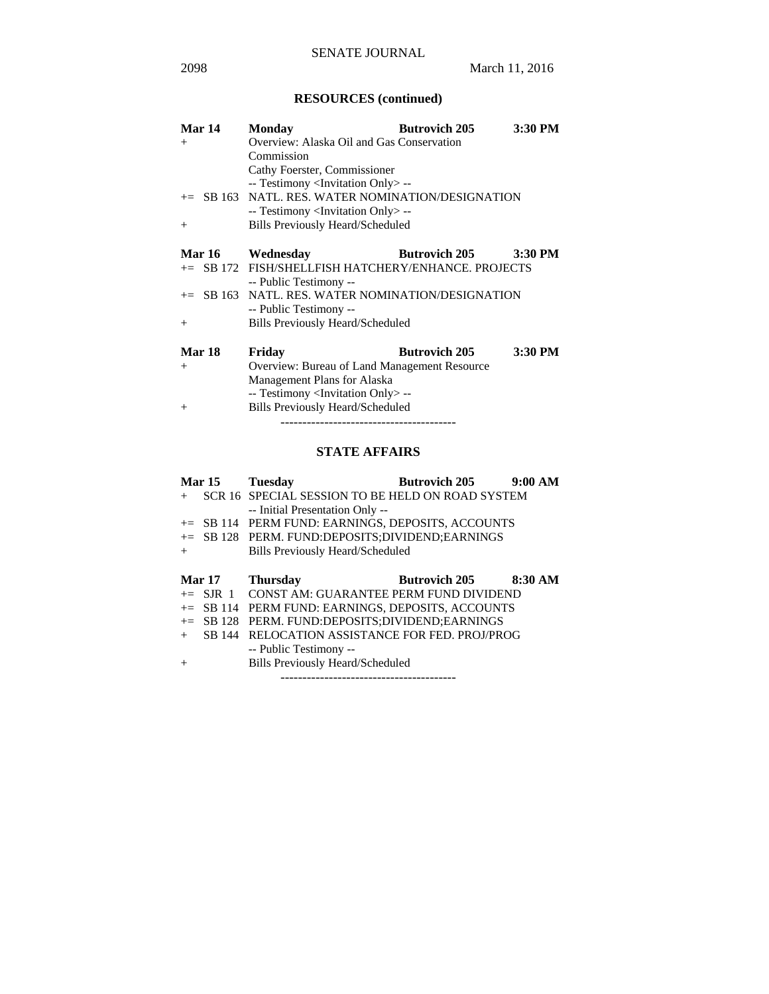# **RESOURCES (continued)**

| Mar 14        | <b>Monday</b>                                       | <b>Butrovich 205</b> | 3:30 PM |
|---------------|-----------------------------------------------------|----------------------|---------|
| $+$           | Overview: Alaska Oil and Gas Conservation           |                      |         |
|               | Commission                                          |                      |         |
|               | Cathy Foerster, Commissioner                        |                      |         |
|               | -- Testimony <invitation only=""> --</invitation>   |                      |         |
|               | += SB 163 NATL. RES. WATER NOMINATION/DESIGNATION   |                      |         |
|               | -- Testimony <invitation only=""> --</invitation>   |                      |         |
| $+$           | <b>Bills Previously Heard/Scheduled</b>             |                      |         |
|               |                                                     |                      |         |
| <b>Mar 16</b> | Wednesday                                           | <b>Butrovich 205</b> | 3:30 PM |
|               | += SB 172 FISH/SHELLFISH HATCHERY/ENHANCE. PROJECTS |                      |         |
|               | -- Public Testimony --                              |                      |         |
|               | $+=$ SB 163 NATL. RES. WATER NOMINATION/DESIGNATION |                      |         |
|               | -- Public Testimony --                              |                      |         |
| $+$           | Bills Previously Heard/Scheduled                    |                      |         |
|               |                                                     |                      |         |
| Mar 18        | Friday                                              | <b>Butrovich 205</b> | 3:30 PM |
| $+$           | Overview: Bureau of Land Management Resource        |                      |         |
|               | Management Plans for Alaska                         |                      |         |
|               | -- Testimony <invitation only=""> --</invitation>   |                      |         |
| $^{+}$        | <b>Bills Previously Heard/Scheduled</b>             |                      |         |

----------------------------------------

# **STATE AFFAIRS**

|     | <b>Mar 15</b> | <b>Tuesday</b>                                     | <b>Butrovich 205</b> | 9:00 AM |
|-----|---------------|----------------------------------------------------|----------------------|---------|
| $+$ |               | SCR 16 SPECIAL SESSION TO BE HELD ON ROAD SYSTEM   |                      |         |
|     |               | -- Initial Presentation Only --                    |                      |         |
|     |               | += SB 114 PERM FUND: EARNINGS, DEPOSITS, ACCOUNTS  |                      |         |
|     |               | += SB 128 PERM. FUND:DEPOSITS:DIVIDEND:EARNINGS    |                      |         |
| $+$ |               | <b>Bills Previously Heard/Scheduled</b>            |                      |         |
|     |               |                                                    |                      |         |
|     |               |                                                    |                      |         |
|     | <b>Mar 17</b> | <b>Thursday</b>                                    | <b>Butrovich 205</b> | 8:30 AM |
|     |               | $+=$ S.IR 1 CONST AM: GUARANTEE PERM FUND DIVIDEND |                      |         |
|     |               | += SB 114 PERM FUND: EARNINGS, DEPOSITS, ACCOUNTS  |                      |         |
|     | $+=$ SB 128   | PERM. FUND:DEPOSITS;DIVIDEND;EARNINGS              |                      |         |
| $+$ |               | SB 144 RELOCATION ASSISTANCE FOR FED. PROJ/PROG    |                      |         |
|     |               | -- Public Testimony --                             |                      |         |

----------------------------------------